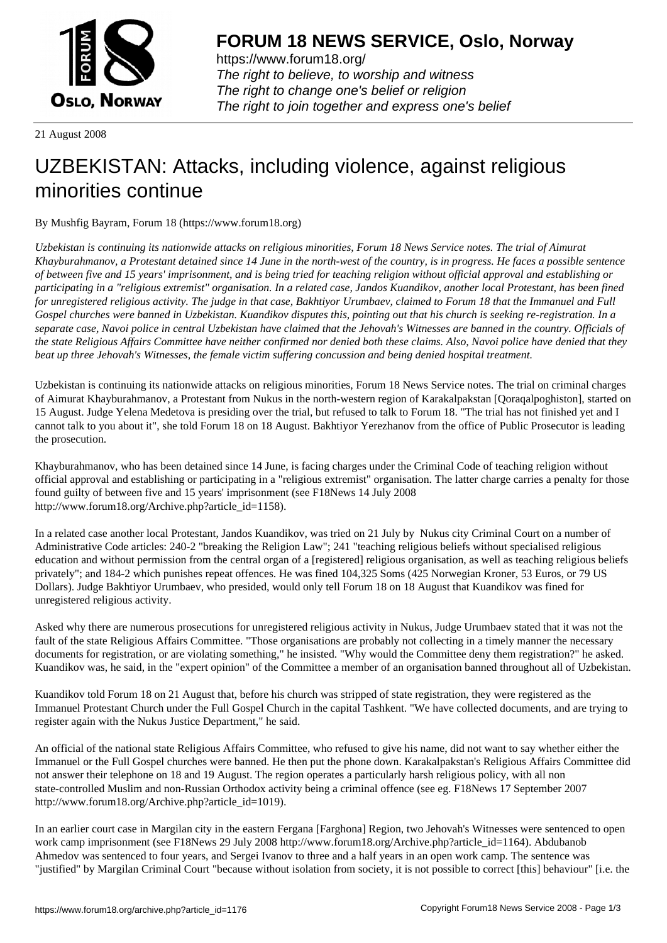

https://www.forum18.org/ The right to believe, to worship and witness The right to change one's belief or religion [The right to join together a](https://www.forum18.org/)nd express one's belief

21 August 2008

## [UZBEKISTAN:](https://www.forum18.org) Attacks, including violence, against religious minorities continue

By Mushfig Bayram, Forum 18 (https://www.forum18.org)

*Uzbekistan is continuing its nationwide attacks on religious minorities, Forum 18 News Service notes. The trial of Aimurat Khayburahmanov, a Protestant detained since 14 June in the north-west of the country, is in progress. He faces a possible sentence of between five and 15 years' imprisonment, and is being tried for teaching religion without official approval and establishing or participating in a "religious extremist" organisation. In a related case, Jandos Kuandikov, another local Protestant, has been fined for unregistered religious activity. The judge in that case, Bakhtiyor Urumbaev, claimed to Forum 18 that the Immanuel and Full Gospel churches were banned in Uzbekistan. Kuandikov disputes this, pointing out that his church is seeking re-registration. In a separate case, Navoi police in central Uzbekistan have claimed that the Jehovah's Witnesses are banned in the country. Officials of the state Religious Affairs Committee have neither confirmed nor denied both these claims. Also, Navoi police have denied that they beat up three Jehovah's Witnesses, the female victim suffering concussion and being denied hospital treatment.*

Uzbekistan is continuing its nationwide attacks on religious minorities, Forum 18 News Service notes. The trial on criminal charges of Aimurat Khayburahmanov, a Protestant from Nukus in the north-western region of Karakalpakstan [Qoraqalpoghiston], started on 15 August. Judge Yelena Medetova is presiding over the trial, but refused to talk to Forum 18. "The trial has not finished yet and I cannot talk to you about it", she told Forum 18 on 18 August. Bakhtiyor Yerezhanov from the office of Public Prosecutor is leading the prosecution.

Khayburahmanov, who has been detained since 14 June, is facing charges under the Criminal Code of teaching religion without official approval and establishing or participating in a "religious extremist" organisation. The latter charge carries a penalty for those found guilty of between five and 15 years' imprisonment (see F18News 14 July 2008 http://www.forum18.org/Archive.php?article\_id=1158).

In a related case another local Protestant, Jandos Kuandikov, was tried on 21 July by Nukus city Criminal Court on a number of Administrative Code articles: 240-2 "breaking the Religion Law"; 241 "teaching religious beliefs without specialised religious education and without permission from the central organ of a [registered] religious organisation, as well as teaching religious beliefs privately"; and 184-2 which punishes repeat offences. He was fined 104,325 Soms (425 Norwegian Kroner, 53 Euros, or 79 US Dollars). Judge Bakhtiyor Urumbaev, who presided, would only tell Forum 18 on 18 August that Kuandikov was fined for unregistered religious activity.

Asked why there are numerous prosecutions for unregistered religious activity in Nukus, Judge Urumbaev stated that it was not the fault of the state Religious Affairs Committee. "Those organisations are probably not collecting in a timely manner the necessary documents for registration, or are violating something," he insisted. "Why would the Committee deny them registration?" he asked. Kuandikov was, he said, in the "expert opinion" of the Committee a member of an organisation banned throughout all of Uzbekistan.

Kuandikov told Forum 18 on 21 August that, before his church was stripped of state registration, they were registered as the Immanuel Protestant Church under the Full Gospel Church in the capital Tashkent. "We have collected documents, and are trying to register again with the Nukus Justice Department," he said.

An official of the national state Religious Affairs Committee, who refused to give his name, did not want to say whether either the Immanuel or the Full Gospel churches were banned. He then put the phone down. Karakalpakstan's Religious Affairs Committee did not answer their telephone on 18 and 19 August. The region operates a particularly harsh religious policy, with all non state-controlled Muslim and non-Russian Orthodox activity being a criminal offence (see eg. F18News 17 September 2007 http://www.forum18.org/Archive.php?article\_id=1019).

In an earlier court case in Margilan city in the eastern Fergana [Farghona] Region, two Jehovah's Witnesses were sentenced to open work camp imprisonment (see F18News 29 July 2008 http://www.forum18.org/Archive.php?article\_id=1164). Abdubanob Ahmedov was sentenced to four years, and Sergei Ivanov to three and a half years in an open work camp. The sentence was "justified" by Margilan Criminal Court "because without isolation from society, it is not possible to correct [this] behaviour" [i.e. the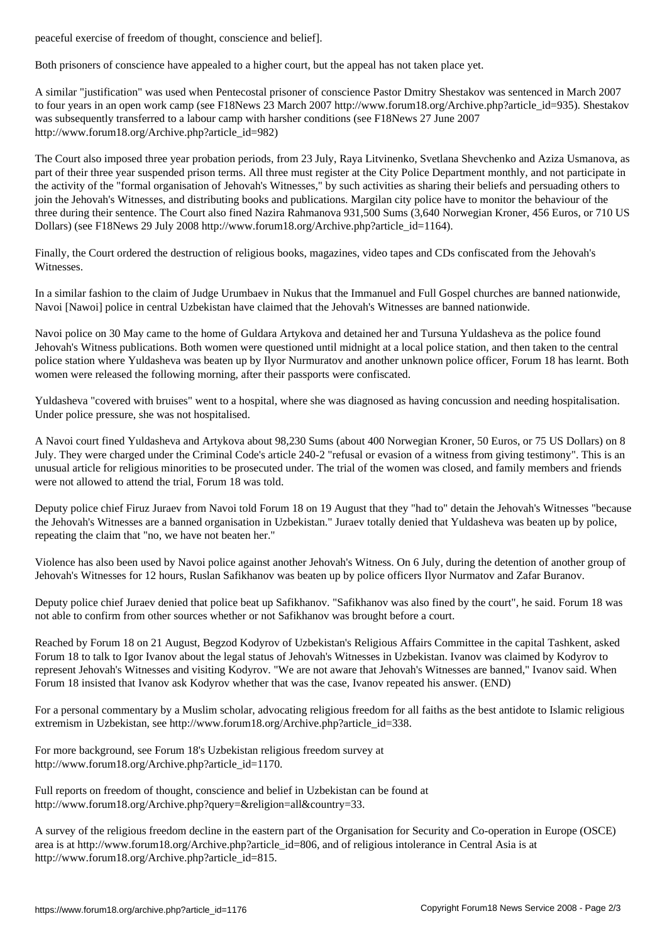Both prisoners of conscience have appealed to a higher court, but the appeal has not taken place yet.

A similar "justification" was used when Pentecostal prisoner of conscience Pastor Dmitry Shestakov was sentenced in March 2007 to four years in an open work camp (see F18News 23 March 2007 http://www.forum18.org/Archive.php?article\_id=935). Shestakov was subsequently transferred to a labour camp with harsher conditions (see F18News 27 June 2007 http://www.forum18.org/Archive.php?article\_id=982)

The Court also imposed three year probation periods, from 23 July, Raya Litvinenko, Svetlana Shevchenko and Aziza Usmanova, as part of their three year suspended prison terms. All three must register at the City Police Department monthly, and not participate in the activity of the "formal organisation of Jehovah's Witnesses," by such activities as sharing their beliefs and persuading others to join the Jehovah's Witnesses, and distributing books and publications. Margilan city police have to monitor the behaviour of the three during their sentence. The Court also fined Nazira Rahmanova 931,500 Sums (3,640 Norwegian Kroner, 456 Euros, or 710 US Dollars) (see F18News 29 July 2008 http://www.forum18.org/Archive.php?article\_id=1164).

Finally, the Court ordered the destruction of religious books, magazines, video tapes and CDs confiscated from the Jehovah's Witnesses.

In a similar fashion to the claim of Judge Urumbaev in Nukus that the Immanuel and Full Gospel churches are banned nationwide, Navoi [Nawoi] police in central Uzbekistan have claimed that the Jehovah's Witnesses are banned nationwide.

Navoi police on 30 May came to the home of Guldara Artykova and detained her and Tursuna Yuldasheva as the police found Jehovah's Witness publications. Both women were questioned until midnight at a local police station, and then taken to the central police station where Yuldasheva was beaten up by Ilyor Nurmuratov and another unknown police officer, Forum 18 has learnt. Both women were released the following morning, after their passports were confiscated.

Yuldasheva "covered with bruises" went to a hospital, where she was diagnosed as having concussion and needing hospitalisation. Under police pressure, she was not hospitalised.

A Navoi court fined Yuldasheva and Artykova about 98,230 Sums (about 400 Norwegian Kroner, 50 Euros, or 75 US Dollars) on 8 July. They were charged under the Criminal Code's article 240-2 "refusal or evasion of a witness from giving testimony". This is an unusual article for religious minorities to be prosecuted under. The trial of the women was closed, and family members and friends were not allowed to attend the trial, Forum 18 was told.

Deputy police chief Firuz Juraev from Navoi told Forum 18 on 19 August that they "had to" detain the Jehovah's Witnesses "because the Jehovah's Witnesses are a banned organisation in Uzbekistan." Juraev totally denied that Yuldasheva was beaten up by police, repeating the claim that "no, we have not beaten her."

Violence has also been used by Navoi police against another Jehovah's Witness. On 6 July, during the detention of another group of Jehovah's Witnesses for 12 hours, Ruslan Safikhanov was beaten up by police officers Ilyor Nurmatov and Zafar Buranov.

Deputy police chief Juraev denied that police beat up Safikhanov. "Safikhanov was also fined by the court", he said. Forum 18 was not able to confirm from other sources whether or not Safikhanov was brought before a court.

Reached by Forum 18 on 21 August, Begzod Kodyrov of Uzbekistan's Religious Affairs Committee in the capital Tashkent, asked Forum 18 to talk to Igor Ivanov about the legal status of Jehovah's Witnesses in Uzbekistan. Ivanov was claimed by Kodyrov to represent Jehovah's Witnesses and visiting Kodyrov. "We are not aware that Jehovah's Witnesses are banned," Ivanov said. When Forum 18 insisted that Ivanov ask Kodyrov whether that was the case, Ivanov repeated his answer. (END)

For a personal commentary by a Muslim scholar, advocating religious freedom for all faiths as the best antidote to Islamic religious extremism in Uzbekistan, see http://www.forum18.org/Archive.php?article\_id=338.

For more background, see Forum 18's Uzbekistan religious freedom survey at http://www.forum18.org/Archive.php?article\_id=1170.

Full reports on freedom of thought, conscience and belief in Uzbekistan can be found at http://www.forum18.org/Archive.php?query=&religion=all&country=33.

A survey of the religious freedom decline in the eastern part of the Organisation for Security and Co-operation in Europe (OSCE) area is at http://www.forum18.org/Archive.php?article\_id=806, and of religious intolerance in Central Asia is at http://www.forum18.org/Archive.php?article\_id=815.